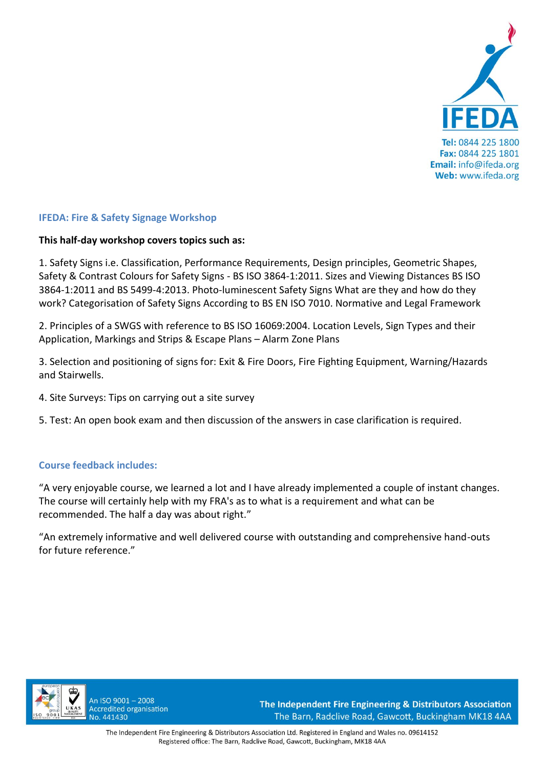

## **IFEDA: Fire & Safety Signage Workshop**

## **This half-day workshop covers topics such as:**

1. Safety Signs i.e. Classification, Performance Requirements, Design principles, Geometric Shapes, Safety & Contrast Colours for Safety Signs - BS ISO 3864-1:2011. Sizes and Viewing Distances BS ISO 3864-1:2011 and BS 5499-4:2013. Photo-luminescent Safety Signs What are they and how do they work? Categorisation of Safety Signs According to BS EN ISO 7010. Normative and Legal Framework

2. Principles of a SWGS with reference to BS ISO 16069:2004. Location Levels, Sign Types and their Application, Markings and Strips & Escape Plans – Alarm Zone Plans

3. Selection and positioning of signs for: Exit & Fire Doors, Fire Fighting Equipment, Warning/Hazards and Stairwells.

- 4. Site Surveys: Tips on carrying out a site survey
- 5. Test: An open book exam and then discussion of the answers in case clarification is required.

## **Course feedback includes:**

"A very enjoyable course, we learned a lot and I have already implemented a couple of instant changes. The course will certainly help with my FRA's as to what is a requirement and what can be recommended. The half a day was about right."

"An extremely informative and well delivered course with outstanding and comprehensive hand-outs for future reference."



An ISO 9001-2008 **Accredited organisation** No. 441430

The Independent Fire Engineering & Distributors Association The Barn, Radclive Road, Gawcott, Buckingham MK18 4AA

The Independent Fire Engineering & Distributors Association Ltd. Registered in England and Wales no. 09614152 Registered office: The Barn, Radclive Road, Gawcott, Buckingham, MK18 4AA